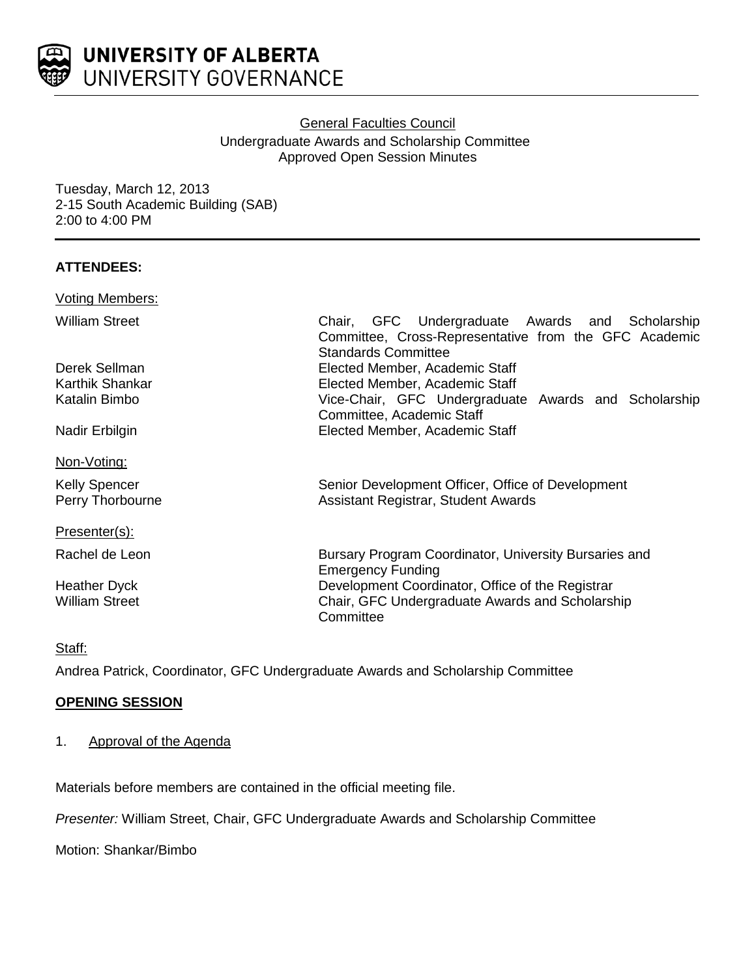

# General Faculties Council Undergraduate Awards and Scholarship Committee Approved Open Session Minutes

Tuesday, March 12, 2013 2-15 South Academic Building (SAB) 2:00 to 4:00 PM

# **ATTENDEES:**

| Voting Members:                   |                                                                                                                                        |
|-----------------------------------|----------------------------------------------------------------------------------------------------------------------------------------|
| William Street                    | Chair, GFC Undergraduate Awards and Scholarship<br>Committee, Cross-Representative from the GFC Academic<br><b>Standards Committee</b> |
| Derek Sellman                     | Elected Member, Academic Staff                                                                                                         |
| Karthik Shankar                   | Elected Member, Academic Staff                                                                                                         |
| Katalin Bimbo                     | Vice-Chair, GFC Undergraduate Awards and Scholarship<br>Committee, Academic Staff                                                      |
| Nadir Erbilgin                    | Elected Member, Academic Staff                                                                                                         |
| <u>Non-Voting:</u>                |                                                                                                                                        |
| Kelly Spencer<br>Perry Thorbourne | Senior Development Officer, Office of Development<br>Assistant Registrar, Student Awards                                               |
| Presenter(s):                     |                                                                                                                                        |
| Rachel de Leon                    | Bursary Program Coordinator, University Bursaries and<br><b>Emergency Funding</b>                                                      |
| Heather Dyck<br>William Street    | Development Coordinator, Office of the Registrar<br>Chair, GFC Undergraduate Awards and Scholarship<br>Committee                       |

#### Staff:

Andrea Patrick, Coordinator, GFC Undergraduate Awards and Scholarship Committee

## **OPENING SESSION**

1. Approval of the Agenda

Materials before members are contained in the official meeting file.

*Presenter:* William Street, Chair, GFC Undergraduate Awards and Scholarship Committee

Motion: Shankar/Bimbo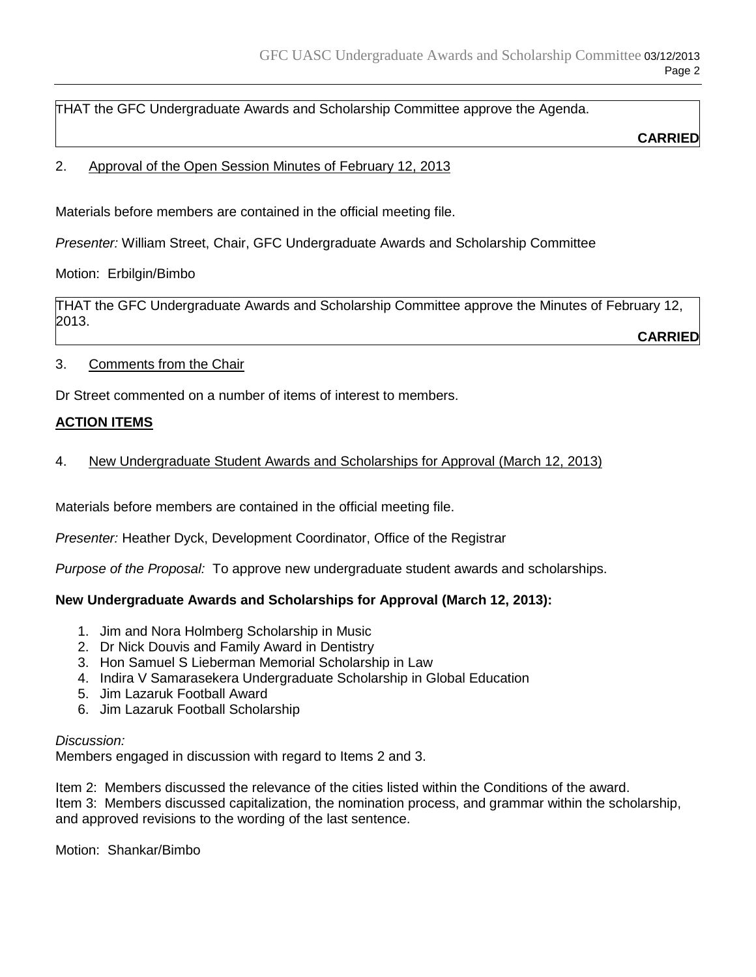THAT the GFC Undergraduate Awards and Scholarship Committee approve the Agenda.

**CARRIED**

### 2. Approval of the Open Session Minutes of February 12, 2013

Materials before members are contained in the official meeting file.

*Presenter:* William Street, Chair, GFC Undergraduate Awards and Scholarship Committee

Motion: Erbilgin/Bimbo

THAT the GFC Undergraduate Awards and Scholarship Committee approve the Minutes of February 12, 2013.

**CARRIED**

3. Comments from the Chair

Dr Street commented on a number of items of interest to members.

### **ACTION ITEMS**

4. New Undergraduate Student Awards and Scholarships for Approval (March 12, 2013)

Materials before members are contained in the official meeting file.

*Presenter:* Heather Dyck, Development Coordinator, Office of the Registrar

*Purpose of the Proposal:* To approve new undergraduate student awards and scholarships.

## **New Undergraduate Awards and Scholarships for Approval (March 12, 2013):**

- 1. Jim and Nora Holmberg Scholarship in Music
- 2. Dr Nick Douvis and Family Award in Dentistry
- 3. Hon Samuel S Lieberman Memorial Scholarship in Law
- 4. Indira V Samarasekera Undergraduate Scholarship in Global Education
- 5. Jim Lazaruk Football Award
- 6. Jim Lazaruk Football Scholarship

#### *Discussion:*

Members engaged in discussion with regard to Items 2 and 3.

Item 2: Members discussed the relevance of the cities listed within the Conditions of the award. Item 3: Members discussed capitalization, the nomination process, and grammar within the scholarship, and approved revisions to the wording of the last sentence.

Motion: Shankar/Bimbo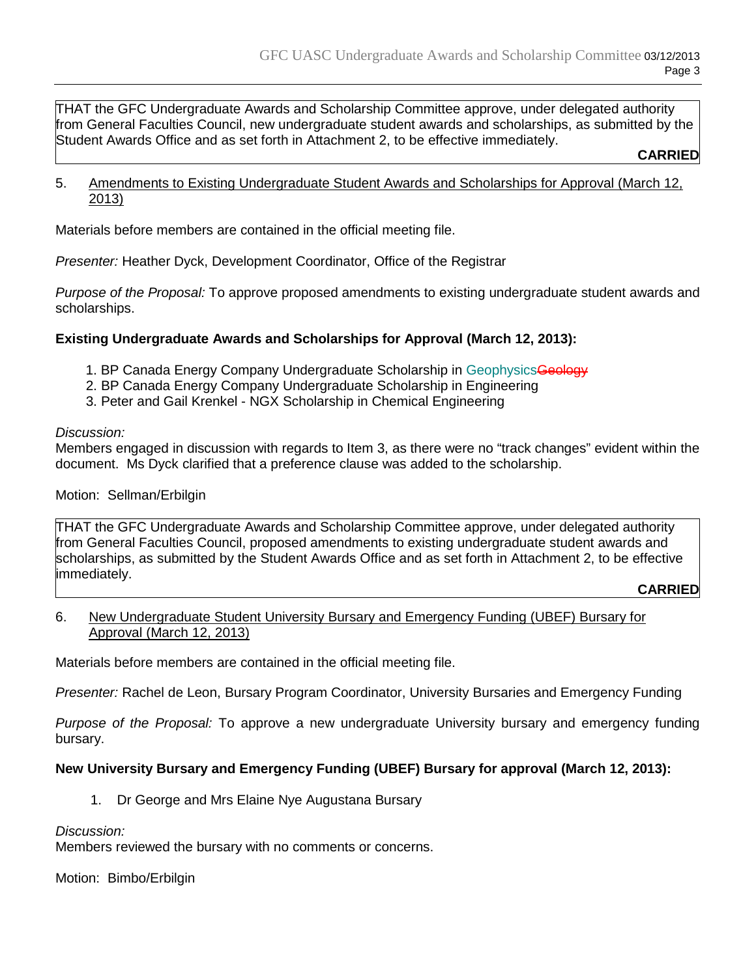THAT the GFC Undergraduate Awards and Scholarship Committee approve, under delegated authority from General Faculties Council, new undergraduate student awards and scholarships, as submitted by the Student Awards Office and as set forth in Attachment 2, to be effective immediately.

**CARRIED**

5. Amendments to Existing Undergraduate Student Awards and Scholarships for Approval (March 12, 2013)

Materials before members are contained in the official meeting file.

*Presenter:* Heather Dyck, Development Coordinator, Office of the Registrar

*Purpose of the Proposal:* To approve proposed amendments to existing undergraduate student awards and scholarships.

# **Existing Undergraduate Awards and Scholarships for Approval (March 12, 2013):**

- 1. BP Canada Energy Company Undergraduate Scholarship in Geophysics Geology
- 2. BP Canada Energy Company Undergraduate Scholarship in Engineering
- 3. Peter and Gail Krenkel NGX Scholarship in Chemical Engineering

#### *Discussion:*

Members engaged in discussion with regards to Item 3, as there were no "track changes" evident within the document. Ms Dyck clarified that a preference clause was added to the scholarship.

## Motion: Sellman/Erbilgin

THAT the GFC Undergraduate Awards and Scholarship Committee approve, under delegated authority from General Faculties Council, proposed amendments to existing undergraduate student awards and scholarships, as submitted by the Student Awards Office and as set forth in Attachment 2, to be effective immediately.

#### **CARRIED**

### 6. New Undergraduate Student University Bursary and Emergency Funding (UBEF) Bursary for Approval (March 12, 2013)

Materials before members are contained in the official meeting file.

*Presenter:* Rachel de Leon, Bursary Program Coordinator, University Bursaries and Emergency Funding

*Purpose of the Proposal:* To approve a new undergraduate University bursary and emergency funding bursary.

## **New University Bursary and Emergency Funding (UBEF) Bursary for approval (March 12, 2013):**

1. Dr George and Mrs Elaine Nye Augustana Bursary

*Discussion:*

Members reviewed the bursary with no comments or concerns.

Motion: Bimbo/Erbilgin